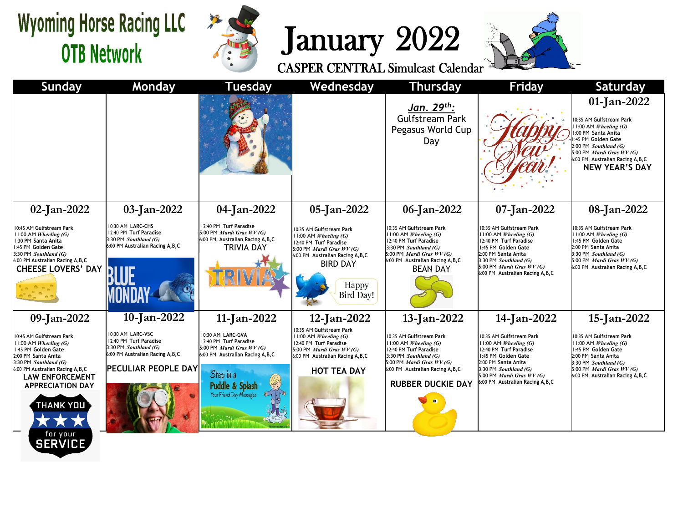## **Wyoming Horse Racing LLC OTB Network**



## January 2022





|                                                                                                                                         |                                                                     |                                                                                                                                                                                                                   | Jan. 29 <sup>th</sup> :<br>Gulfstream Park<br>Pegasus World Cup<br>Day                                                                    |                                                                                                                                                                                                                               | 01-Jan-2022<br>10:35 AM Gulfstream Park<br>$1:00$ AM <i>Wheeling</i> (G)<br>:00 PM Santa Anita<br>:45 PM Golden Gate<br>2:00 PM Southland (G)<br>5:00 PM Mardi Gras WV (G)<br>6:00 PM Australian Racing A, B, C |
|-----------------------------------------------------------------------------------------------------------------------------------------|---------------------------------------------------------------------|-------------------------------------------------------------------------------------------------------------------------------------------------------------------------------------------------------------------|-------------------------------------------------------------------------------------------------------------------------------------------|-------------------------------------------------------------------------------------------------------------------------------------------------------------------------------------------------------------------------------|-----------------------------------------------------------------------------------------------------------------------------------------------------------------------------------------------------------------|
|                                                                                                                                         |                                                                     |                                                                                                                                                                                                                   |                                                                                                                                           |                                                                                                                                                                                                                               | <b>NEW YEAR'S DAY</b>                                                                                                                                                                                           |
| $03$ -Jan-2022                                                                                                                          | 04-Jan-2022                                                         | 05-Jan-2022                                                                                                                                                                                                       | 06-Jan-2022                                                                                                                               | 07-Jan-2022                                                                                                                                                                                                                   | 08-Jan-2022                                                                                                                                                                                                     |
| 10:30 AM LARC-CHS<br>12:40 PM Turf Paradise<br>3:30 PM Southland (G)<br>6:00 PM Australian Racing A,B,C                                 | TRIVIA DAY                                                          | 0:35 AM Gulfstream Park<br>$1:00$ AM <i>Wheeling</i> (G)<br>12:40 PM Turf Paradise<br><b>BIRD DAY</b><br>Happy<br><b>Bird Day!</b>                                                                                | 10:35 AM Gulfstream Park<br>$11:00$ AM <i>Wheeling</i> (G)<br>12:40 PM Turf Paradise<br>3:30 PM Southland (G)<br><b>BEAN DAY</b>          | 10:35 AM Gulfstream Park<br>$11:00$ AM <i>Wheeling</i> (G)<br>12:40 PM Turf Paradise<br>1:45 PM Golden Gate<br>2:00 PM Santa Anita<br>3:30 PM Southland (G)<br>6:00 PM Australian Racing A, B, C                              | 10:35 AM Gulfstream Park<br>$1:00$ AM <i>Wheeling (G)</i><br>:45 PM Golden Gate<br>2:00 PM Santa Anita<br>3:30 PM Southland (G)<br>5:00 PM Mardi Gras WV (G)<br>6:00 PM Australian Racing A, B, C               |
| 10-Jan-2022                                                                                                                             | 11-Jan-2022                                                         | 12-Jan-2022                                                                                                                                                                                                       | 13-Jan-2022                                                                                                                               | 14-Jan-2022                                                                                                                                                                                                                   | 15-Jan-2022                                                                                                                                                                                                     |
| 10:30 AM LARC-VSC<br>12:40 PM Turf Paradise<br>3:30 PM Southland (G)<br>6:00 PM Australian Racing A, B, C<br><b>PECULIAR PEOPLE DAY</b> | Step in a<br><b>Puddle &amp; Splash</b><br>Your Friend Day Messages | 0:35 AM Gulfstream Park<br>1:00 AM Wheeling (G)<br>12:40 PM Turf Paradise<br><b>HOT TEA DAY</b>                                                                                                                   | 10:35 AM Gulfstream Park<br>$11:00$ AM <i>Wheeling</i> (G)<br>12:40 PM Turf Paradise<br>3:30 PM Southland (G)<br><b>RUBBER DUCKIE DAY</b> | 10:35 AM Gulfstream Park<br>$11:00$ AM <i>Wheeling</i> (G)<br>12:40 PM Turf Paradise<br>1:45 PM Golden Gate<br>2:00 PM Santa Anita<br>3:30 PM Southland (G)<br>5:00 PM Mardi Gras WV (G)<br>6:00 PM Australian Racing A, B, C | 10:35 AM Gulfstream Park<br>11:00 AM Wheeling (G)<br>1:45 PM Golden Gate<br>2:00 PM Santa Anita<br>3:30 PM Southland (G)<br>5:00 PM <i>Mardi Gras WV (G)</i><br>6:00 PM Australian Racing A, B, C               |
|                                                                                                                                         |                                                                     | 12:40 PM Turf Paradise<br>5:00 PM Mardi Gras $WV(G)$<br>6:00 PM Australian Racing A, B, C<br>10:30 AM LARC-GVA<br>12:40 PM Turf Paradise<br>5:00 PM <i>Mardi Gras WV (G)</i><br>6:00 PM Australian Racing A, B, C | 5:00 PM Mardi Gras WV (G)<br>6:00 PM Australian Racing A, B, C<br>5:00 PM <i>Mardi Gras WV (G)</i><br>6:00 PM Australian Racing A, B, C   | 5:00 PM Mardi Gras WV (G)<br>6:00 PM Australian Racing A, B, C<br>5:00 PM <i>Mardi Gras WV (G)</i><br>6:00 PM Australian Racing A, B, C                                                                                       | 5:00 PM <i>Mardi Gras WV (G)</i>                                                                                                                                                                                |